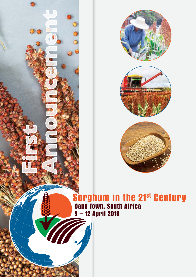



# **Sorghum in the 21st Century Cape Town, South Africa 9 – 12 April 2018**

**First**

**Announcement**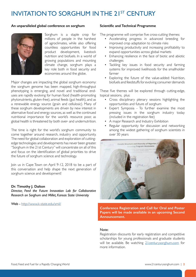## INVITATION TO SORGHUM IN THE 21ST CENTURY

#### **An unparalleled global conference on sorghum**



Sorghum is a staple crop for millions of people in the harshest of agroclimates, while also offering countless opportunities for food product development, livestock nutrition and biofuels. In a world of growing populations and mounting climate change, sorghum plays a key role both in food security and economies around the globe.

Major changes are impacting the global sorghum economy: the sorghum genome has been mapped, high-throughput phenotyping is emerging, and novel and traditional enduses are rapidly evolving for human food (health-promoting phytonutrients, gluten-free), animal feeds (gut health), and as a renewable energy source (grain and cellulosic). Many of these sorghum developments are driven by new interest in alternative food and energy sources, as well as the continued nutritional importance for the world's resource poor, as global health is threatened by both over- and undernutrition.

The time is right for the world's sorghum community to come together around research, industry and opportunity. The need for global collaboration and exploration of cuttingedge technologies and developments has never been greater. "Sorghum in the 21st Century" will concentrate on all of this and focus on the identification of global priorities to drive the future of sorghum science and technology.

Join us in Cape Town on April 9-12, 2018 to be a part of this conversation and help shape the next generation of sorghum science and development!

#### **Dr. Timothy J. Dalton**

*Director, Feed the Future Innovation Lab for Collaborative Research on Sorghum and Millet, Kansas State University*

Web - <http://www.k-state.edu/smil/>

#### **Scientific and Technical Programme**

The programme will comprise five cross-cutting themes:

- Accelerating progress in advanced breeding for improved crop adaptation to climate risks
- Improving productivity and increasing profitability to expand opportunities across global markets
- Enhancing resilience in the face of biotic and abiotic challenges
- Tackling key issues in food security and farming systems for improved livelihoods for the smallholder farmer
- Exploring the future of the value-added: Nutrition, biofuels and feedstuffs for evolving consumer demands

These five themes will be explored through cutting-edge, topical sessions, plus:

- Cross disciplinary plenary sessions highlighting the opportunities and future of sorghum
- Expert Symposia To further examine the most pressing issues in the sorghum industry today (included in the registration fee)
- A major Research and Industry Exhibition
- Regular opportunity for discussion and networking among the widest gathering of sorghum scientists in over 30 years



**Conference Registration and Call for Oral and Poster Papers will be made available in an upcoming Second Announcement.**

#### Note:

Registration discounts for early registration and competitive scholarships for young professionals and graduate students will be available. Be watching 21 centurysorghum.com for more information.